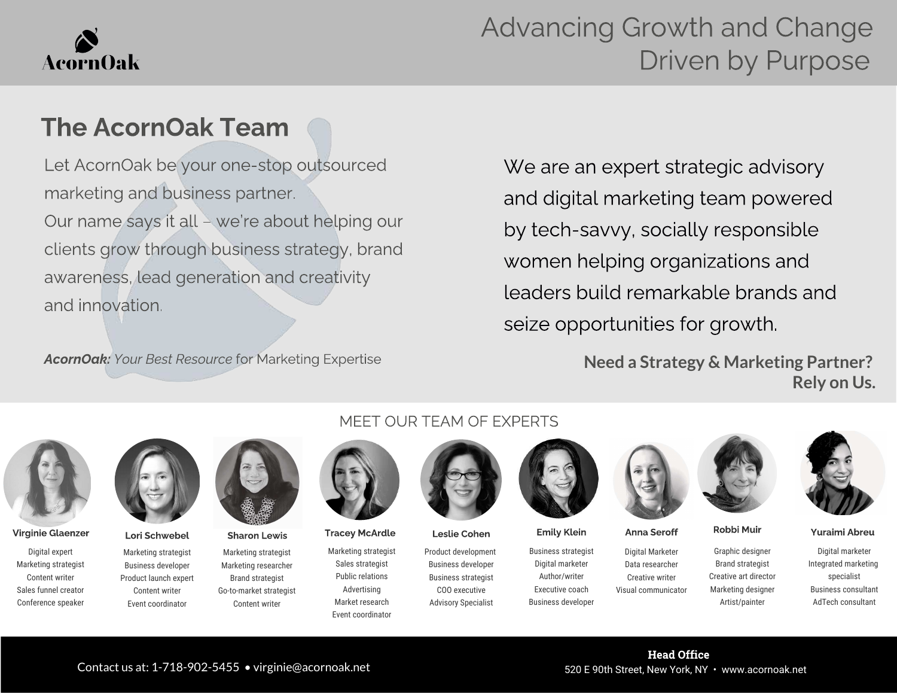# **AcornOak**

## Advancing Growth and Change Driven by Purpose

### The AcornOak Team

Let AcornOak be your one-stop outsourced marketing and business partner. Our name says it all – we're about helping our clients grow through business strategy, brand awareness, lead generation and creativity and innovation.

AcornOak: Your Best Resource for Marketing Expertise

We are an expert strategic advisory and digital marketing team powered by tech-savvy, socially responsible women helping organizations and leaders build remarkable brands and seize opportunities for growth.

> **Need a Strategy & Marketing Partner? Rely on Us.**



Digital expert Marketing strategist Content writer Sales funnel creator Conference speaker



Marketing strategist Business developer Product launch expert Content writer Event coordinator

Marketing strategist Marketing researcher Brand strategist Go-to-market strategist Content writer

#### MEET OUR TEAM OF EXPERTS



Marketing strategist Sales strategist Public relations Advertising Market research Event coordinator



Product development Business developer Business strategist COO executive Advisory Specialist



Business strategist Digital marketer Author/writer Executive coach Virginie Glaenzer Lori Schwebel Sharon Lewis Tracey McArdle Leslie Cohen Emily Klein Anna Seroff Robbi Muir Yuraimi Abreu

Business developer



Digital Marketer Data researcher Creative writer Visual communicator





Graphic designer Brand strategist Creative art director Marketing designer Artist/painter

Digital marketer Integrated marketing specialist Business consultant AdTech consultant

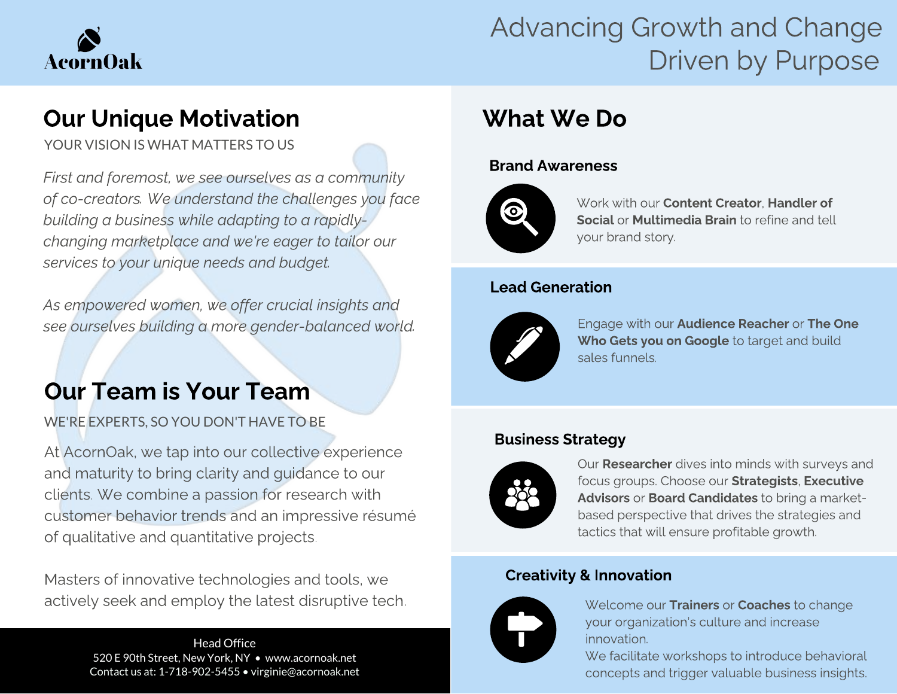

## Advancing Growth and Change Driven by Purpose

YOUR VISION IS WHAT MATTERS TO US

First and foremost, we see ourselves as a community building a business while adapting to a rapidlybuilding a business while adapting to a rapidlychanging marketplace and we're eager to tailor our<br>carvings to vour unique needs and budget services to your unique needs and budget.

As empowered women, we offer crucial insights and see ourselves building a more gender-balanced world.

WE'RE EXPERTS, SO YOU DON'T HAVE TO BE

At AcornOak, we tap into our collective experience<br>and maturity to bring clarity and quidance to our clients. We combine a passion for research with customer behavior trends and an impressive résumé of qualitative and quantitative projects. of qualitative and quantitative projects.

Masters of innovative technologies and tools, we<br>actively seek and employ the latest disruptive tech. actively seek and employ the latest disruptive tech.

Head Office 520 E 90th Street, New York, NY • www.acornoak.net Contact us at: 1-718-902-5455 • virginie@acornoak.net

### What We Do What We Do Do

#### Brand Awareness



Work with our **Content Creator, Handler of** Social or Multimedia Brain to refine and tell your brand story.

#### Lead Generation



Engage with our Audience Reacher or The One Who Gets you on Google to target and build sales funnels.

### Business Strategy



Our **Researcher** dives into minds with surveys and focus groups. Choose our Strategists, Executive Advisors or Board Candidates to bring a marketbased perspective that drives the strategies and tactics that will ensure profitable growth.

### Creativity & Innovation



Welcome our Trainers or Coaches to change your organization's culture and increase innovation.

We facilitate workshops to introduce behavioral concepts and trigger valuable business insights.